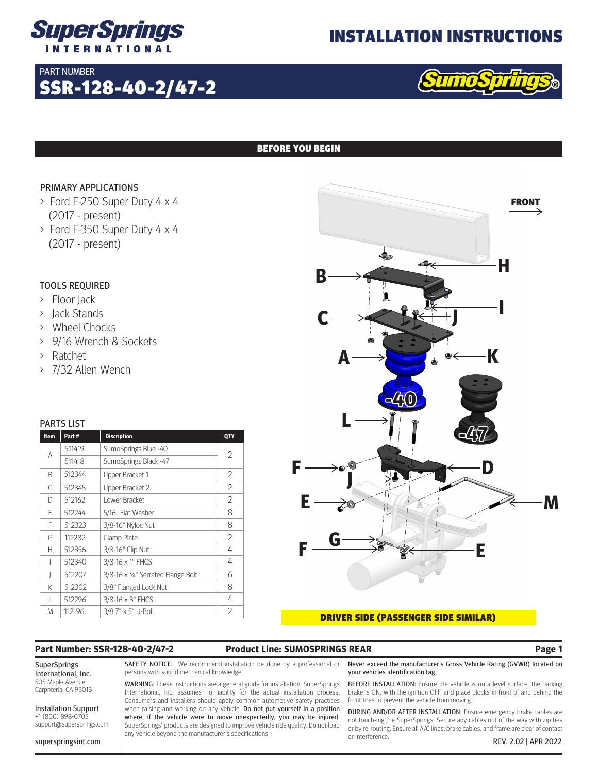

## INSTALLATION INSTRUCTIONS

## PART NUMBER

# SSR-128-40-2/47-2



## BEFORE YOU BEGIN

### PRIMARY APPLICATIONS

- > Ford F-250 Super Duty 4 x 4 (2017 - present)
- > Ford F-350 Super Duty 4 x 4 (2017 - present)

## TOOLS REQUIRED

- > Floor Jack
- > Jack Stands
- > Wheel Chocks
- > 9/16 Wrench & Sockets
- > Ratchet
- > 7/32 Allen Wench

### PARTS LIST

| Item | Part#  | <b>Discription</b>                | QTY            |
|------|--------|-----------------------------------|----------------|
| A    | 511419 | SumoSprings Blue -40              | $\overline{2}$ |
|      | 511418 | SumoSprings Black -47             |                |
| B    | 512344 | Upper Bracket 1                   | 2              |
| C    | 512345 | Upper Bracket 2                   | 2              |
| D    | 512162 | Lower Bracket                     | 2              |
| E    | 512244 | 5/16" Flat Washer                 | 8              |
| F    | 512323 | 3/8-16" Nyloc Nut                 | 8              |
| G    | 112282 | Clamp Plate                       | 2              |
| н    | 512356 | 3/8-16" Clip Nut                  | 4              |
|      | 512340 | 3/8-16 x 1" FHCS                  | 4              |
|      | 512207 | 3/8-16 x 34" Serrated Flange Bolt | 6              |
| K    | 512302 | 3/8" Flanged Lock Nut             | 8              |
| L    | 512296 | 3/8-16 x 3" FHCS                  | 4              |
| M    | 112196 | 3/8 7" x 5" U-Bolt                | 2              |



### DRIVER SIDE (PASSENGER SIDE SIMILAR)

## **Part Number: SSR-128-40-2/47-2 Product Line: SUMOSPRINGS REAR Page 1**

SuperSprings International, Inc. 505 Maple Avenue Carpnteria, CA 93013

Installation Support +1 (800) 898-0705 support@supersprings.com

superspringsint.com

SAFETY NOTICE: We recommend installation be done by a professional or persons with sound mechanical knowledge.

WARNING: These instructions are a general guide for installation. SuperSprings International, Inc. assumes no liability for the actual installation process. Consumers and installers should apply common automotive safety practices when raising and working on any vehicle. Do not put yourself in a position where, if the vehicle were to move unexpectedly, you may be injured. SuperSprings' products are designed to improve vehicle ride quality. Do not load any vehicle beyond the manufacturer's specifications.

Never exceed the manufacturer's Gross Vehicle Rating (GVWR) located on your vehicles identification tag.

BEFORE INSTALLATION: Ensure the vehicle is on a level surface, the parking brake is ON, with the ignition OFF, and place blocks in front of and behind the front tires to prevent the vehicle from moving.

DURING AND/OR AFTER INSTALLATION: Ensure emergency brake cables are not touch-ing the SuperSprings. Secure any cables out of the way with zip ties or by re-routing. Ensure all A/C lines, brake cables, and frame are clear of contact or interference. REV. 2.02 | APR 2022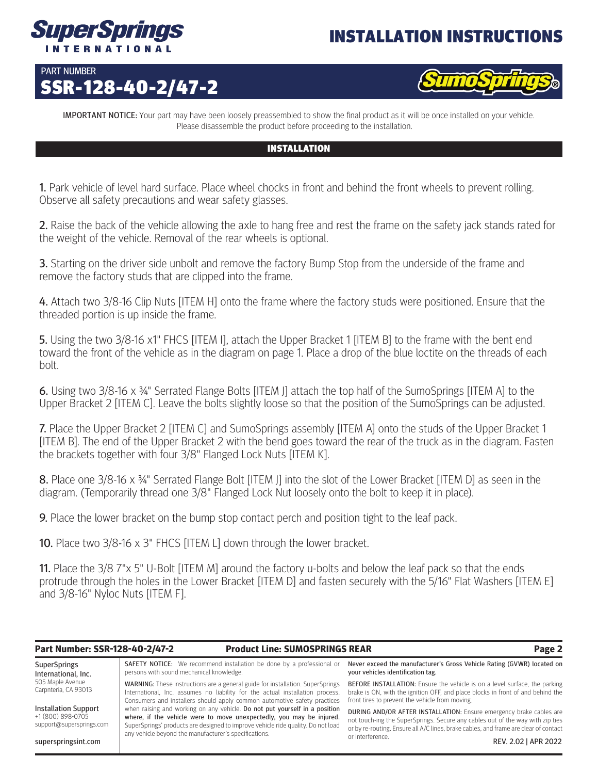

# INSTALLATION INSTRUCTIONS

## PART NUMBER SSR-128-40-2/47-2



**IMPORTANT NOTICE:** Your part may have been loosely preassembled to show the final product as it will be once installed on your vehicle. Please disassemble the product before proceeding to the installation.

## INSTALLATION

1. Park vehicle of level hard surface. Place wheel chocks in front and behind the front wheels to prevent rolling. Observe all safety precautions and wear safety glasses.

2. Raise the back of the vehicle allowing the axle to hang free and rest the frame on the safety jack stands rated for the weight of the vehicle. Removal of the rear wheels is optional.

**3.** Starting on the driver side unbolt and remove the factory Bump Stop from the underside of the frame and remove the factory studs that are clipped into the frame.

4. Attach two 3/8-16 Clip Nuts [ITEM H] onto the frame where the factory studs were positioned. Ensure that the threaded portion is up inside the frame.

5. Using the two 3/8-16 x1" FHCS [ITEM I], attach the Upper Bracket 1 [ITEM B] to the frame with the bent end toward the front of the vehicle as in the diagram on page 1. Place a drop of the blue loctite on the threads of each bolt.

6. Using two 3/8-16 x ¾" Serrated Flange Bolts [ITEM J] attach the top half of the SumoSprings [ITEM A] to the Upper Bracket 2 [ITEM C]. Leave the bolts slightly loose so that the position of the SumoSprings can be adjusted.

7. Place the Upper Bracket 2 [ITEM C] and SumoSprings assembly [ITEM A] onto the studs of the Upper Bracket 1 [ITEM B]. The end of the Upper Bracket 2 with the bend goes toward the rear of the truck as in the diagram. Fasten the brackets together with four 3/8" Flanged Lock Nuts [ITEM K].

8. Place one 3/8-16 x 34" Serrated Flange Bolt [ITEM J] into the slot of the Lower Bracket [ITEM D] as seen in the diagram. (Temporarily thread one 3/8" Flanged Lock Nut loosely onto the bolt to keep it in place).

**9.** Place the lower bracket on the bump stop contact perch and position tight to the leaf pack.

10. Place two 3/8-16 x 3" FHCS [ITEM L] down through the lower bracket.

11. Place the 3/8 7"x 5" U-Bolt [ITEM M] around the factory u-bolts and below the leaf pack so that the ends protrude through the holes in the Lower Bracket [ITEM D] and fasten securely with the 5/16" Flat Washers [ITEM E] and 3/8-16" Nyloc Nuts [ITEM F].

## **Part Number: SSR-128-40-2/47-2 Product Line: SUMOSPRINGS REAR Page 2**

**SuperSprings** International, Inc. 505 Maple Avenue Carpnteria, CA 93013 Installation Support +1 (800) 898-0705 support@supersprings.com SAFETY NOTICE: We recommend installation be done by a professional or persons with sound mechanical knowledge. WARNING: These instructions are a general guide for installation. SuperSprings International, Inc. assumes no liability for the actual installation process. Consumers and installers should apply common automotive safety practices when raising and working on any vehicle. Do not put yourself in a position where, if the vehicle were to move unexpectedly, you may be injured. SuperSprings' products are designed to improve vehicle ride quality. Do not load Never exceed the manufacturer's Gross Vehicle Rating (GVWR) located on your vehicles identification tag. BEFORE INSTALLATION: Ensure the vehicle is on a level surface, the parking front tires to prevent the vehicle from moving. DURING AND/OR AFTER INSTALLATION: Ensure emergency brake cables are

superspringsint.com

any vehicle beyond the manufacturer's specifications.

brake is ON, with the ignition OFF, and place blocks in front of and behind the

not touch-ing the SuperSprings. Secure any cables out of the way with zip ties or by re-routing. Ensure all A/C lines, brake cables, and frame are clear of contact or interference. REV. 2.02 | APR 2022